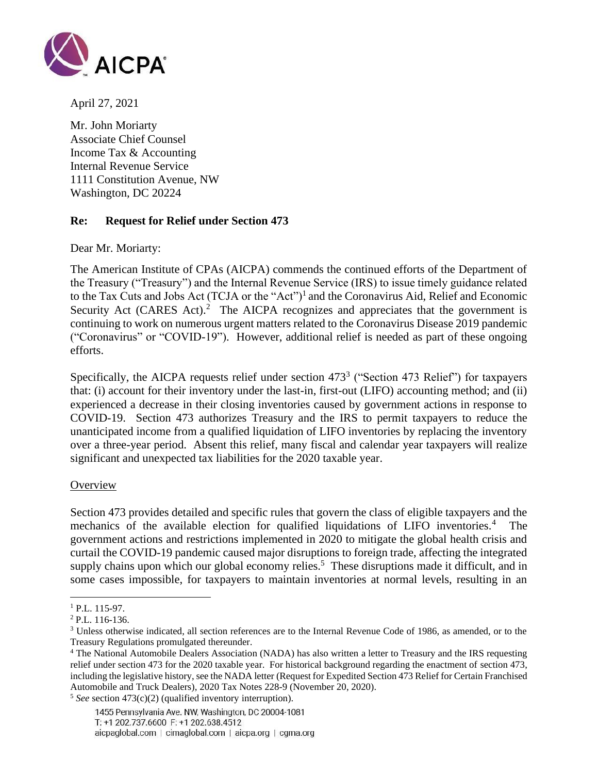

April 27, 2021

Mr. John Moriarty Associate Chief Counsel Income Tax & Accounting Internal Revenue Service 1111 Constitution Avenue, NW Washington, DC 20224

# **Re: Request for Relief under Section 473**

Dear Mr. Moriarty:

The American Institute of CPAs (AICPA) commends the continued efforts of the Department of the Treasury ("Treasury") and the Internal Revenue Service (IRS) to issue timely guidance related to the Tax Cuts and Jobs Act (TCJA or the "Act")<sup>1</sup> and the Coronavirus Aid, Relief and Economic Security Act (CARES Act).<sup>2</sup> The AICPA recognizes and appreciates that the government is continuing to work on numerous urgent matters related to the Coronavirus Disease 2019 pandemic ("Coronavirus" or "COVID-19"). However, additional relief is needed as part of these ongoing efforts.

Specifically, the AICPA requests relief under section  $473^3$  ("Section 473 Relief") for taxpayers that: (i) account for their inventory under the last-in, first-out (LIFO) accounting method; and (ii) experienced a decrease in their closing inventories caused by government actions in response to COVID-19. Section 473 authorizes Treasury and the IRS to permit taxpayers to reduce the unanticipated income from a qualified liquidation of LIFO inventories by replacing the inventory over a three-year period. Absent this relief, many fiscal and calendar year taxpayers will realize significant and unexpected tax liabilities for the 2020 taxable year.

### **Overview**

Section 473 provides detailed and specific rules that govern the class of eligible taxpayers and the mechanics of the available election for qualified liquidations of LIFO inventories.<sup>4</sup> The government actions and restrictions implemented in 2020 to mitigate the global health crisis and curtail the COVID-19 pandemic caused major disruptions to foreign trade, affecting the integrated supply chains upon which our global economy relies.<sup>5</sup> These disruptions made it difficult, and in some cases impossible, for taxpayers to maintain inventories at normal levels, resulting in an

<sup>&</sup>lt;sup>1</sup> P.L. 115-97.

<sup>2</sup> P.L. 116-136.

<sup>3</sup> Unless otherwise indicated, all section references are to the Internal Revenue Code of 1986, as amended, or to the Treasury Regulations promulgated thereunder.

<sup>4</sup> The National Automobile Dealers Association (NADA) has also written a letter to Treasury and the IRS requesting relief under section 473 for the 2020 taxable year. For historical background regarding the enactment of section 473, including the legislative history, see the NADA letter (Request for Expedited Section 473 Relief for Certain Franchised Automobile and Truck Dealers), 2020 Tax Notes 228-9 (November 20, 2020).

<sup>5</sup> *See* section 473(c)(2) (qualified inventory interruption).

<sup>1455</sup> Pennsylvania Ave. NW, Washington, DC 20004-1081 T: +1 202.737.6600 F: +1 202.638.4512 aicpaglobal.com | cimaglobal.com | aicpa.org | cgma.org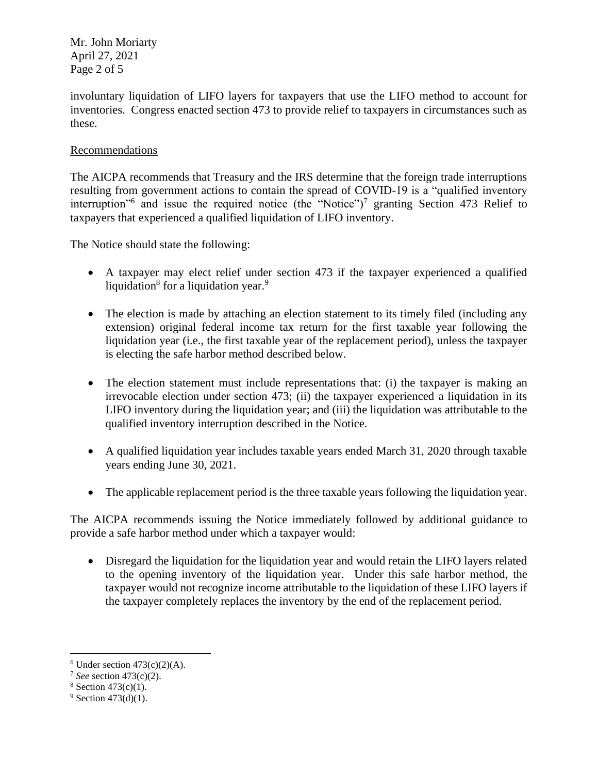Mr. John Moriarty April 27, 2021 Page 2 of 5

involuntary liquidation of LIFO layers for taxpayers that use the LIFO method to account for inventories. Congress enacted section 473 to provide relief to taxpayers in circumstances such as these.

# Recommendations

The AICPA recommends that Treasury and the IRS determine that the foreign trade interruptions resulting from government actions to contain the spread of COVID-19 is a "qualified inventory interruption<sup>"6</sup> and issue the required notice (the "Notice")<sup>7</sup> granting Section 473 Relief to taxpayers that experienced a qualified liquidation of LIFO inventory.

The Notice should state the following:

- A taxpayer may elect relief under section 473 if the taxpayer experienced a qualified liquidation<sup>8</sup> for a liquidation year.<sup>9</sup>
- The election is made by attaching an election statement to its timely filed (including any extension) original federal income tax return for the first taxable year following the liquidation year (i.e., the first taxable year of the replacement period), unless the taxpayer is electing the safe harbor method described below.
- The election statement must include representations that: (i) the taxpayer is making an irrevocable election under section 473; (ii) the taxpayer experienced a liquidation in its LIFO inventory during the liquidation year; and (iii) the liquidation was attributable to the qualified inventory interruption described in the Notice.
- A qualified liquidation year includes taxable years ended March 31, 2020 through taxable years ending June 30, 2021.
- The applicable replacement period is the three taxable years following the liquidation year.

The AICPA recommends issuing the Notice immediately followed by additional guidance to provide a safe harbor method under which a taxpayer would:

• Disregard the liquidation for the liquidation year and would retain the LIFO layers related to the opening inventory of the liquidation year. Under this safe harbor method, the taxpayer would not recognize income attributable to the liquidation of these LIFO layers if the taxpayer completely replaces the inventory by the end of the replacement period.

 $6$  Under section  $473(c)(2)(A)$ .

<sup>7</sup> *See* section 473(c)(2).

 $8$  Section 473(c)(1).

 $9$  Section 473(d)(1).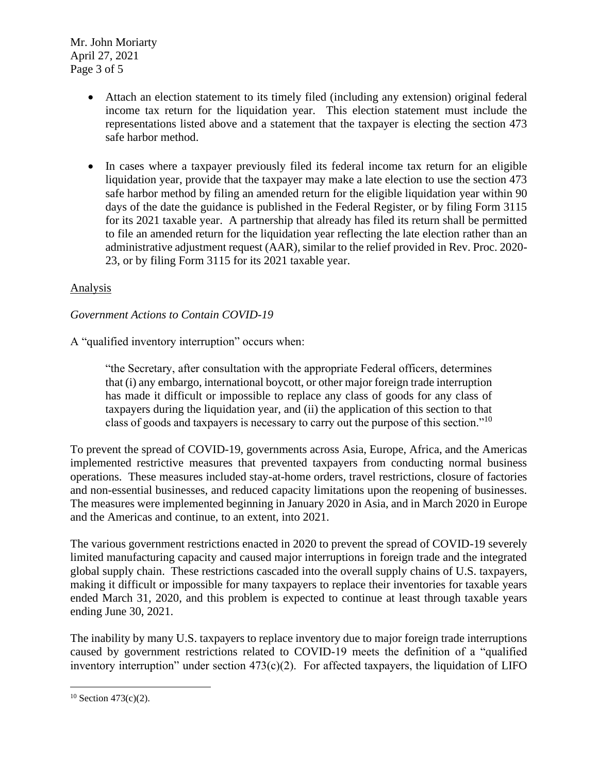Mr. John Moriarty April 27, 2021 Page 3 of 5

- Attach an election statement to its timely filed (including any extension) original federal income tax return for the liquidation year. This election statement must include the representations listed above and a statement that the taxpayer is electing the section 473 safe harbor method.
- In cases where a taxpayer previously filed its federal income tax return for an eligible liquidation year, provide that the taxpayer may make a late election to use the section 473 safe harbor method by filing an amended return for the eligible liquidation year within 90 days of the date the guidance is published in the Federal Register, or by filing Form 3115 for its 2021 taxable year. A partnership that already has filed its return shall be permitted to file an amended return for the liquidation year reflecting the late election rather than an administrative adjustment request (AAR), similar to the relief provided in Rev. Proc. 2020- 23, or by filing Form 3115 for its 2021 taxable year.

# Analysis

# *Government Actions to Contain COVID-19*

A "qualified inventory interruption" occurs when:

"the Secretary, after consultation with the appropriate Federal officers, determines that (i) any embargo, international boycott, or other major foreign trade interruption has made it difficult or impossible to replace any class of goods for any class of taxpayers during the liquidation year, and (ii) the application of this section to that class of goods and taxpayers is necessary to carry out the purpose of this section."<sup>10</sup>

To prevent the spread of COVID-19, governments across Asia, Europe, Africa, and the Americas implemented restrictive measures that prevented taxpayers from conducting normal business operations. These measures included stay-at-home orders, travel restrictions, closure of factories and non-essential businesses, and reduced capacity limitations upon the reopening of businesses. The measures were implemented beginning in January 2020 in Asia, and in March 2020 in Europe and the Americas and continue, to an extent, into 2021.

The various government restrictions enacted in 2020 to prevent the spread of COVID-19 severely limited manufacturing capacity and caused major interruptions in foreign trade and the integrated global supply chain. These restrictions cascaded into the overall supply chains of U.S. taxpayers, making it difficult or impossible for many taxpayers to replace their inventories for taxable years ended March 31, 2020, and this problem is expected to continue at least through taxable years ending June 30, 2021.

The inability by many U.S. taxpayers to replace inventory due to major foreign trade interruptions caused by government restrictions related to COVID-19 meets the definition of a "qualified inventory interruption" under section  $473(c)(2)$ . For affected taxpayers, the liquidation of LIFO

 $10$  Section 473(c)(2).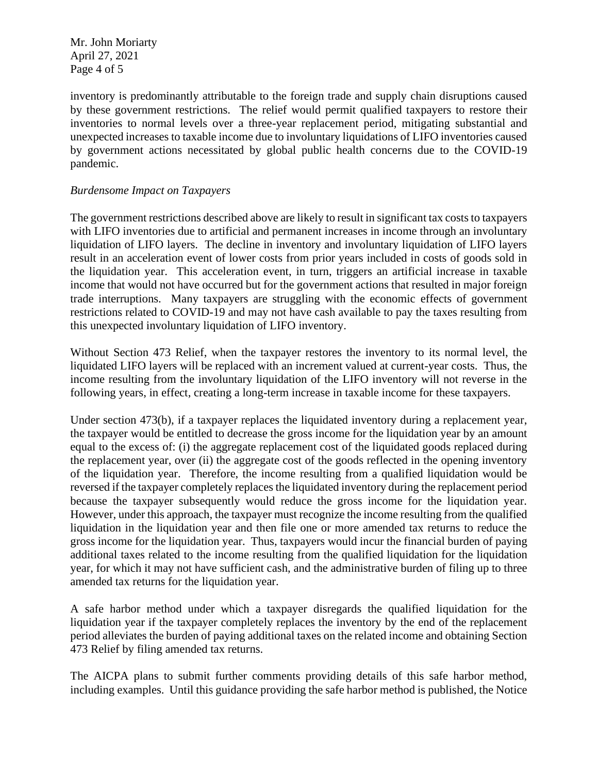Mr. John Moriarty April 27, 2021 Page 4 of 5

inventory is predominantly attributable to the foreign trade and supply chain disruptions caused by these government restrictions. The relief would permit qualified taxpayers to restore their inventories to normal levels over a three-year replacement period, mitigating substantial and unexpected increases to taxable income due to involuntary liquidations of LIFO inventories caused by government actions necessitated by global public health concerns due to the COVID-19 pandemic.

# *Burdensome Impact on Taxpayers*

The government restrictions described above are likely to result in significant tax costs to taxpayers with LIFO inventories due to artificial and permanent increases in income through an involuntary liquidation of LIFO layers. The decline in inventory and involuntary liquidation of LIFO layers result in an acceleration event of lower costs from prior years included in costs of goods sold in the liquidation year. This acceleration event, in turn, triggers an artificial increase in taxable income that would not have occurred but for the government actions that resulted in major foreign trade interruptions. Many taxpayers are struggling with the economic effects of government restrictions related to COVID-19 and may not have cash available to pay the taxes resulting from this unexpected involuntary liquidation of LIFO inventory.

Without Section 473 Relief, when the taxpayer restores the inventory to its normal level, the liquidated LIFO layers will be replaced with an increment valued at current-year costs. Thus, the income resulting from the involuntary liquidation of the LIFO inventory will not reverse in the following years, in effect, creating a long-term increase in taxable income for these taxpayers.

Under section 473(b), if a taxpayer replaces the liquidated inventory during a replacement year, the taxpayer would be entitled to decrease the gross income for the liquidation year by an amount equal to the excess of: (i) the aggregate replacement cost of the liquidated goods replaced during the replacement year, over (ii) the aggregate cost of the goods reflected in the opening inventory of the liquidation year. Therefore, the income resulting from a qualified liquidation would be reversed if the taxpayer completely replaces the liquidated inventory during the replacement period because the taxpayer subsequently would reduce the gross income for the liquidation year. However, under this approach, the taxpayer must recognize the income resulting from the qualified liquidation in the liquidation year and then file one or more amended tax returns to reduce the gross income for the liquidation year. Thus, taxpayers would incur the financial burden of paying additional taxes related to the income resulting from the qualified liquidation for the liquidation year, for which it may not have sufficient cash, and the administrative burden of filing up to three amended tax returns for the liquidation year.

A safe harbor method under which a taxpayer disregards the qualified liquidation for the liquidation year if the taxpayer completely replaces the inventory by the end of the replacement period alleviates the burden of paying additional taxes on the related income and obtaining Section 473 Relief by filing amended tax returns.

The AICPA plans to submit further comments providing details of this safe harbor method, including examples. Until this guidance providing the safe harbor method is published, the Notice